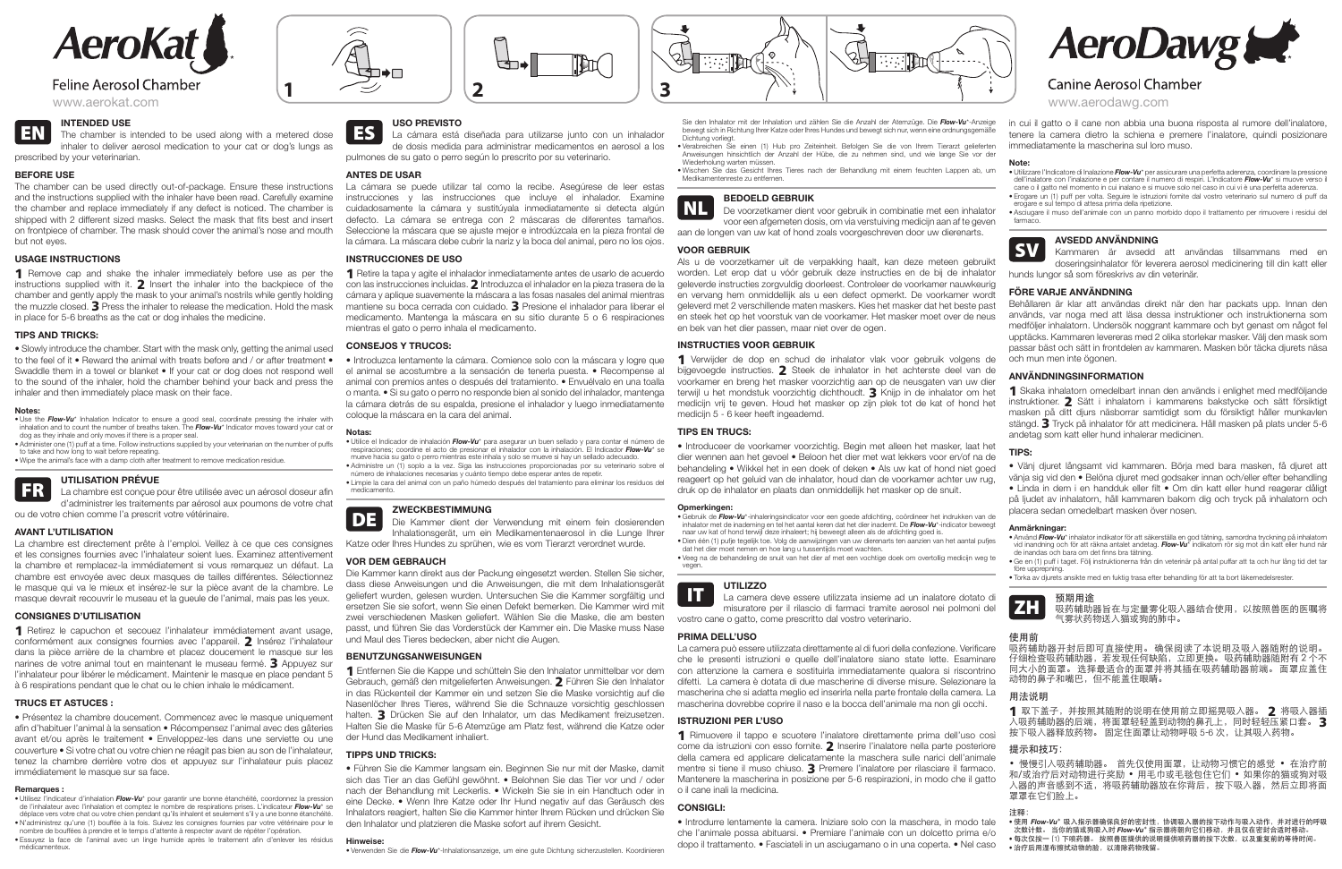

# **Feline Aerosol Chamber**

**EN INTENDED USE**<br>The chamber is intended to be used along with a metered dose inhaler to deliver aerosol medication to your cat or dog's lungs as prescribed by your veterinarian.

# **BEFORE USE**

The chamber can be used directly out-of-package. Ensure these instructions and the instructions supplied with the inhaler have been read. Carefully examine the chamber and replace immediately if any defect is noticed. The chamber is shipped with 2 different sized masks. Select the mask that fits best and insert on frontpiece of chamber. The mask should cover the animal's nose and mouth but not eyes.

1 Remove cap and shake the inhaler immediately before use as per the instructions supplied with it. 2 Insert the inhaler into the backpiece of the chamber and gently apply the mask to your animal's nostrils while gently holding the muzzle closed. 3 Press the inhaler to release the medication. Hold the mask in place for 5-6 breaths as the cat or dog inhales the medicine.

# **USAGE INSTRUCTIONS**

## **TIPS AND TRICKS:**

**UTILISATION PRÉVUE<br>La chambre est conçue pour être utilisée avec un aérosol doseur afin** d'administrer les traitements par aérosol aux poumons de votre chat ou de votre chien comme l'a prescrit votre vétérinaire.

• Slowly introduce the chamber. Start with the mask only, getting the animal used to the feel of it • Reward the animal with treats before and / or after treatment • Swaddle them in a towel or blanket • If your cat or dog does not respond well to the sound of the inhaler, hold the chamber behind your back and press the inhaler and then immediately place mask on their face.

### **Notes:**

• Use the *Flow-Vu*\* Inhalation Indicator to ensure a good seal, coordinate pressing the inhaler with inhalation and to count the number of breaths taken. The *Flow-Vu*\* Indicator moves toward your cat or dog as they inhale and only moves if there is a proper seal.

• Administer one (1) puff at a time. Follow instructions supplied by your veterinarian on the number of puffs to take and how long to wait before repeating.

• Utilisez l'indicateur d'inhalation *Flow-Vu*\* pour garantir une bonne étanchéité, coordonnez la pression de l'inhalateur avec l'inhalation et comptez le nombre de respirations prises. L'indicateur *Flow-Vu*\* se déplace vers votre chat ou votre chien pendant qu'ils inhalent et seulement s'il y a une bonne étanchéité

• Wipe the animal's face with a damp cloth after treatment to remove medication residue.

# **AVANT L'UTILISATION**

La chambre est directement prête à l'emploi. Veillez à ce que ces consignes et les consignes fournies avec l'inhalateur soient lues. Examinez attentivement la chambre et remplacez-la immédiatement si vous remarquez un défaut. La chambre est envoyée avec deux masques de tailles différentes. Sélectionnez le masque qui va le mieux et insérez-le sur la pièce avant de la chambre. Le masque devrait recouvrir le museau et la gueule de l'animal, mais pas les yeux.

# **CONSIGNES D'UTILISATION**

1 Retire la tapa y agite el inhalador inmediatamente antes de usarlo de acuerdo con las instrucciones incluidas. 2 Introduzca el inhalador en la pieza trasera de la cámara y aplique suavemente la máscara a las fosas nasales del animal mientras mantiene su boca cerrada con cuidado. 3 Presione el inhalador para liberar el medicamento. Mantenga la máscara en su sitio durante 5 o 6 respiraciones mientras el gato o perro inhala el medicamento.

1 Retirez le capuchon et secouez l'inhalateur immédiatement avant usage, conformément aux consignes fournies avec l'appareil. 2 Insérez l'inhalateur dans la pièce arrière de la chambre et placez doucement le masque sur les narines de votre animal tout en maintenant le museau fermé. 3 Appuyez sur l'inhalateur pour libérer le médicament. Maintenir le masque en place pendant 5 à 6 respirations pendant que le chat ou le chien inhale le médicament.

# **TRUCS ET ASTUCES :**

• Présentez la chambre doucement. Commencez avec le masque uniquement afin d'habituer l'animal à la sensation • Récompensez l'animal avec des gâteries avant et/ou après le traitement • Enveloppez-les dans une serviette ou une couverture • Si votre chat ou votre chien ne réagit pas bien au son de l'inhalateur, tenez la chambre derrière votre dos et appuyez sur l'inhalateur puis placez immédiatement le masque sur sa face.

#### **Remarques :**

• N'administrez qu'une (1) bouffée à la fois. Suivez les consignes fournies par votre vétérinaire pour le nombre de bouffées à prendre et le temps d'attente à respecter avant de répéter l'opération.

• Essuyez la face de l'animal avec un linge humide après le traitement afin d'enlever les résidus médicamenteux.



ES **USO PREVISTO** La cámara está diseñada para utilizarse junto con un inhalador de dosis medida para administrar medicamentos en aerosol a los pulmones de su gato o perro según lo prescrito por su veterinario.

 $\mathbb{R}$ 

### **ANTES DE USAR**

La cámara se puede utilizar tal como la recibe. Asegúrese de leer estas instrucciones y las instrucciones que incluye el inhalador. Examine cuidadosamente la cámara y sustitúyala inmediatamente si detecta algún defecto. La cámara se entrega con 2 máscaras de diferentes tamaños. Seleccione la máscara que se ajuste mejor e introdúzcala en la pieza frontal de la cámara. La máscara debe cubrir la nariz y la boca del animal, pero no los ojos.

# **INSTRUCCIONES DE USO**

# **CONSEJOS Y TRUCOS:**

• Introduzca lentamente la cámara. Comience solo con la máscara y logre que el animal se acostumbre a la sensación de tenerla puesta. • Recompense al animal con premios antes o después del tratamiento. • Envuélvalo en una toalla o manta. • Si su gato o perro no responde bien al sonido del inhalador, mantenga la cámara detrás de su espalda, presione el inhalador y luego inmediatamente coloque la máscara en la cara del animal.

> **UTILIZZO**<br>La camera deve essere utilizzata insieme ad un inalatore dotato di misuratore per il rilascio di farmaci tramite aerosol nei polmoni del vostro cane o gatto, come prescritto dal vostro veterinario.

#### **Notas:**

• Utilice el Indicador de inhalación *Flow-Vu*\* para asegurar un buen sellado y para contar el número de respiraciones; coordine el acto de presionar el inhalador con la inhalación. El Indicador *Flow-Vu*\* se mueve hacia su gato o perro mientras este inhala y solo se mueve si hay un sellado adecuado.

• Administre un (1) soplo a la vez. Siga las instrucciones proporcionadas por su veterinario sobre el número de inhalaciones necesarias y cuánto tiempo debe esperar antes de repetir.

• Limpie la cara del animal con un paño húmedo después del tratamiento para eliminar los residuos del medicamento.

DE **ZWECKBESTIMMUNG** Die Kammer dient der Verwendung mit einem fein dosierenden Inhalationsgerät, um ein Medikamentenaerosol in die Lunge Ihrer Katze oder Ihres Hundes zu sprühen, wie es vom Tierarzt verordnet wurde.

- Utilizzare l'Indicatore di Inalazione **Flow-Vu**\* per assicurare una perfetta aderenza, coordinare la pressione<br>• dell'inalatore con l'inalazione e per contare il numero di respiri. L'Indicatore **Flow-Vu**\* si muove verso cane o il gatto nel momento in cui inalano e si muove solo nel caso in cui vi è una perfetta aderenza. • Erogare un (1) puff per volta. Seguire le istruzioni fornite dal vostro veterinario sul numero di puff da
- erogare e sul tempo di attesa prima della ripetizione. • Asciugare il muso dell'animale con un panno morbido dopo il trattamento per rimuovere i residui del farmaco.

### **VOR DEM GEBRAUCH**

Die Kammer kann direkt aus der Packung eingesetzt werden. Stellen Sie sicher, dass diese Anweisungen und die Anweisungen, die mit dem Inhalationsgerät geliefert wurden, gelesen wurden. Untersuchen Sie die Kammer sorgfältig und ersetzen Sie sie sofort, wenn Sie einen Defekt bemerken. Die Kammer wird mit zwei verschiedenen Masken geliefert. Wählen Sie die Maske, die am besten passt, und führen Sie das Vorderstück der Kammer ein. Die Maske muss Nase und Maul des Tieres bedecken, aber nicht die Augen.

1 Skaka inhalatorn omedelbart innan den används i enlighet med medföljande instruktioner. 2 Sätt i inhalatorn i kammarens bakstycke och sätt försiktigt masken på ditt djurs näsborrar samtidigt som du försiktigt håller munkavlen stängd. 3 Tryck på inhalator för att medicinera. Håll masken på plats under 5-6 andetag som katt eller hund inhalerar medicinen.

# **BENUTZUNGSANWEISUNGEN**

1 Entfernen Sie die Kappe und schütteln Sie den Inhalator unmittelbar vor dem Gebrauch, gemäß den mitgelieferten Anweisungen. 2 Führen Sie den Inhalator in das Rückenteil der Kammer ein und setzen Sie die Maske vorsichtig auf die Nasenlöcher Ihres Tieres, während Sie die Schnauze vorsichtig geschlossen halten. 3 Drücken Sie auf den Inhalator, um das Medikament freizusetzen. Halten Sie die Maske für 5-6  Atemzüge am Platz fest, während die Katze oder der Hund das Medikament inhaliert.

# **TIPPS UND TRICKS:**

1 取下盖子, 并按照其随附的说明在使用前立即摇晃吸入器。 2 将吸入器插 入吸药辅助器的后端,将面罩轻轻盖到动物的鼻孔上,同时轻轻压紧口套。 3 按下吸入器释放药物。 固定住面罩让动物呼吸 5-6 次,让其吸入药物。

• Führen Sie die Kammer langsam ein. Beginnen Sie nur mit der Maske, damit sich das Tier an das Gefühl gewöhnt. • Belohnen Sie das Tier vor und / oder nach der Behandlung mit Leckerlis. • Wickeln Sie sie in ein Handtuch oder in eine Decke. • Wenn Ihre Katze oder Ihr Hund negativ auf das Geräusch des Inhalators reagiert, halten Sie die Kammer hinter Ihrem Rücken und drücken Sie den Inhalator und platzieren die Maske sofort auf ihrem Gesicht.

#### **Hinweise:**

• Verwenden Sie die *Flow-Vu*\*-Inhalationsanzeige, um eine gute Dichtung sicherzustellen. Koordinieren

• Wischen Sie das Gesicht Ihres Tieres nach der Behandlung mit einem feuchten Lappen ab, um Medikamentenreste zu entfernen.



NL **BEDOELD GEBRUIK** De voorzetkamer dient voor gebruik in combinatie met een inhalator voor een afgemeten dosis, om via verstuiving medicijn aan af te geven aan de longen van uw kat of hond zoals voorgeschreven door uw dierenarts.

## **VOOR GEBRUIK**

Als u de voorzetkamer uit de verpakking haalt, kan deze meteen gebruikt worden. Let erop dat u vóór gebruik deze instructies en de bij de inhalator geleverde instructies zorgvuldig doorleest. Controleer de voorkamer nauwkeurig en vervang hem onmiddellijk als u een defect opmerkt. De voorkamer wordt geleverd met 2 verschillende maten maskers. Kies het masker dat het beste past en steek het op het voorstuk van de voorkamer. Het masker moet over de neus en bek van het dier passen, maar niet over de ogen.

# **INSTRUCTIES VOOR GEBRUIK**

1 Verwijder de dop en schud de inhalator vlak voor gebruik volgens de bijgevoegde instructies. 2 Steek de inhalator in het achterste deel van de voorkamer en breng het masker voorzichtig aan op de neusgaten van uw dier terwijl u het mondstuk voorzichtig dichthoudt. 3 Knijp in de inhalator om het medicijn vrij te geven. Houd het masker op zijn plek tot de kat of hond het medicijn 5 - 6 keer heeft ingeademd.

# **TIPS EN TRUCS:**

• Introduceer de voorkamer voorzichtig. Begin met alleen het masker, laat het dier wennen aan het gevoel • Beloon het dier met wat lekkers voor en/of na de behandeling • Wikkel het in een doek of deken • Als uw kat of hond niet goed reageert op het geluid van de inhalator, houd dan de voorkamer achter uw rug, druk op de inhalator en plaats dan onmiddellijk het masker op de snuit.

#### **Opmerkingen:**

Sie den Inhalator mit der Inhalation und zählen Sie die Anzahl der Atemzüge. Die *Flow-Vu*\*-Anzeige bewegt sich in Richtung Ihrer Katze oder Ihres Hundes und bewegt sich nur, wenn eine ordnungsgemäße Dichtung vorliegt. • Verabreichen Sie einen (1) Hub pro Zeiteinheit. Befolgen Sie die von Ihrem Tierarzt gelieferten Anweisungen hinsichtlich der Anzahl der Hübe, die zu nehmen sind, und wie lange Sie vor der in cui il gatto o il cane non abbia una buona risposta al rumore dell'inalatore, tenere la camera dietro la schiena e premere l'inalatore, quindi posizionare immediatamente la mascherina sul loro muso.

Wiederholung warten müssen.

• Gebruik de *Flow-Vu*\*-inhaleringsindicator voor een goede afdichting, coördineer het indrukken van de inhalator met de inademing en tel het aantal keren dat het dier inademt. De *Flow-Vu*\*-indicator beweegt naar uw kat of hond terwijl deze inhaleert; hij beweegt alleen als de afdichting goed is.

• Dien één (1) pufje tegelijk toe. Volg de aanwijzingen van uw dierenarts ten aanzien van het aantal pufjes dat het dier moet nemen en hoe lang u tussentijds moet wachten.

• Veeg na de behandeling de snuit van het dier af met een vochtige doek om overtollig medicijn weg te vegen.



### **PRIMA DELL'USO**

La camera può essere utilizzata direttamente al di fuori della confezione. Verificare che le presenti istruzioni e quelle dell'inalatore siano state lette. Esaminare con attenzione la camera e sostituirla immediatamente qualora si riscontrino difetti. La camera è dotata di due mascherine di diverse misure. Selezionare la mascherina che si adatta meglio ed inserirla nella parte frontale della camera. La mascherina dovrebbe coprire il naso e la bocca dell'animale ma non gli occhi.

# **ISTRUZIONI PER L'USO**

1 Rimuovere il tappo e scuotere l'inalatore direttamente prima dell'uso così come da istruzioni con esso fornite. 2 Inserire l'inalatore nella parte posteriore della camera ed applicare delicatamente la maschera sulle narici dell'animale mentre si tiene il muso chiuso. 3 Premere l'inalatore per rilasciare il farmaco. Mantenere la mascherina in posizione per 5-6 respirazioni, in modo che il gatto o il cane inali la medicina.

# **CONSIGLI:**

• Introdurre lentamente la camera. Iniziare solo con la maschera, in modo tale che l'animale possa abituarsi. • Premiare l'animale con un dolcetto prima e/o dopo il trattamento. • Fasciateli in un asciugamano o in una coperta. • Nel caso

### **Note:**

SV **AVSEDD ANVÄNDNING** Kammaren är avsedd att användas tillsammans med en doseringsinhalator för leverera aerosol medicinering till din katt eller hunds lungor så som föreskrivs av din veterinär.

# **FÖRE VARJE ANVÄNDNING**

Behållaren är klar att användas direkt när den har packats upp. Innan den används, var noga med att läsa dessa instruktioner och instruktionerna som medföljer inhalatorn. Undersök noggrant kammare och byt genast om något fel upptäcks. Kammaren levereras med 2 olika storlekar masker. Välj den mask som passar bäst och sätt in frontdelen av kammaren. Masken bör täcka djurets näsa och mun men inte ögonen.

# **ANVÄNDNINGSINFORMATION**

# **TIPS:**

• Vänj djuret långsamt vid kammaren. Börja med bara masken, få djuret att vänja sig vid den • Belöna djuret med godsaker innan och/eller efter behandling • Linda in dem i en handduk eller filt • Om din katt eller hund reagerar dåligt på ljudet av inhalatorn, håll kammaren bakom dig och tryck på inhalatorn och placera sedan omedelbart masken över nosen.

#### **Anmärkningar:**

- Använd *Flow-Vu*\* inhalator indikator för att säkerställa en god tätning, samordna tryckning på inhalatorn vid inandning och för att räkna antalet andetag. *Flow-Vu*\* indikatorn rör sig mot din katt eller hund när de inandas och bara om det finns bra tätning.
- Ge en (1) puff i taget. Följ instruktionerna från din veterinär på antal puffar att ta och hur lång tid det tar före upprepning.
- Torka av djurets ansikte med en fuktig trasa efter behandling för att ta bort läkemedelsrester.



ZH 预期用途 吸药辅助器旨在与定量雾化吸入器结合使用,以按照兽医的医嘱将 气雾状药物送入猫或狗的肺中。

### 使用前

吸药辅助器开封后即可直接使用。 确保阅读了本说明及吸入器随附的说明。 仔细检查吸药辅助器,若发现任何缺陷,立即更换。 吸药辅助器随附有 2 个不 同大小的面罩。 选择最适合的面罩并将其插在吸药辅助器前端。 面罩应盖住 动物的鼻子和嘴巴,但不能盖住眼睛。

### 用法说明

### 提示和技巧:

• 慢慢引入吸药辅助器。 首先仅使用面罩,让动物习惯它的感觉 • 在治疗前 和/或治疗后对动物进行奖励 • 用毛巾或毛毯包住它们 • 如果你的猫或狗对吸 入器的声音感到不适,将吸药辅助器放在你背后,按下吸入器,然后立即将面 罩罩在它们脸上。

#### 注释

- 使用 *Flow-Vu*\* 吸入指示器确保良好的密封性,协调吸入器的按下动作与吸入动作,并对进行的呼吸 次数计数。 当你的猫或狗吸入时 *Flow-Vu*\* 指示器将朝向它们移动,并且仅在密封合适时移动。
- 每次仅按一 (1) 下喷药器。 按照兽医提供的说明提供喷药器的按下次数,以及重复前的等待时间。
- 治疗后用湿布擦拭动物的脸,以清除药物残留。





**AeroDawg** 

# **Canine Aerosol Chamber**